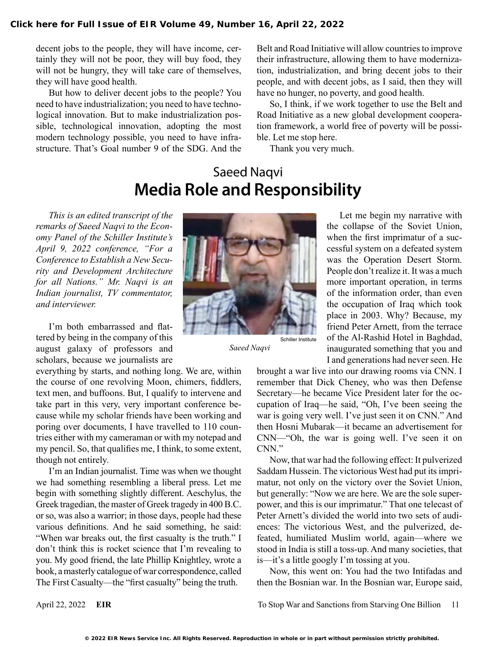decent jobs to the people, they will have income, certainly they will not be poor, they will buy food, they will not be hungry, they will take care of themselves, they will have good health.

But how to deliver decent jobs to the people? You need to have industrialization; you need to have technological innovation. But to make industrialization possible, technological innovation, adopting the most modern technology possible, you need to have infrastructure. That's Goal number 9 of the SDG. And the

Belt and Road Initiative will allow countries to improve their infrastructure, allowing them to have modernization, industrialization, and bring decent jobs to their people, and with decent jobs, as I said, then they will have no hunger, no poverty, and good health.

So, I think, if we work together to use the Belt and Road Initiative as a new global development cooperation framework, a world free of poverty will be possible. Let me stop here.

Thank you very much.

## Saeed Naqvi **Media Role and Responsibility**

*This is an edited transcript of the remarks of Saeed Naqvi to the Economy Panel of the Schiller Institute's April 9, 2022 conference, "For a Conference to Establish a New Security and Development Architecture for all Nations." Mr. Naqvi is an Indian journalist, TV commentator, and interviewer.*

I'm both embarrassed and flattered by being in the company of this august galaxy of professors and scholars, because we journalists are

everything by starts, and nothing long. We are, within the course of one revolving Moon, chimers, fiddlers, text men, and buffoons. But, I qualify to intervene and take part in this very, very important conference because while my scholar friends have been working and poring over documents, I have travelled to 110 countries either with my cameraman or with my notepad and my pencil. So, that qualifies me, I think, to some extent, though not entirely.

I'm an Indian journalist. Time was when we thought we had something resembling a liberal press. Let me begin with something slightly different. Aeschylus, the Greek tragedian, the master of Greek tragedy in 400 B.C. or so, was also a warrior; in those days, people had these various definitions. And he said something, he said: "When war breaks out, the first casualty is the truth." I don't think this is rocket science that I'm revealing to you. My good friend, the late Phillip Knightley, wrote a book, a masterly catalogue of war correspondence, called The First Casualty—the "first casualty" being the truth.



*Saeed Naqvi*

Let me begin my narrative with the collapse of the Soviet Union, when the first imprimatur of a successful system on a defeated system was the Operation Desert Storm. People don't realize it. It was a much more important operation, in terms of the information order, than even the occupation of Iraq which took place in 2003. Why? Because, my friend Peter Arnett, from the terrace of the Al-Rashid Hotel in Baghdad, inaugurated something that you and I and generations had never seen. He

brought a war live into our drawing rooms via CNN. I remember that Dick Cheney, who was then Defense Secretary—he became Vice President later for the occupation of Iraq—he said, "Oh, I've been seeing the war is going very well. I've just seen it on CNN." And then Hosni Mubarak—it became an advertisement for CNN—"Oh, the war is going well. I've seen it on CNN."

Now, that war had the following effect: It pulverized Saddam Hussein. The victorious West had put its imprimatur, not only on the victory over the Soviet Union, but generally: "Now we are here. We are the sole superpower, and this is our imprimatur." That one telecast of Peter Arnett's divided the world into two sets of audiences: The victorious West, and the pulverized, defeated, humiliated Muslim world, again—where we stood in India is still a toss-up. And many societies, that is—it's a little googly I'm tossing at you.

Now, this went on: You had the two Intifadas and then the Bosnian war. In the Bosnian war, Europe said,

April 22, 2022 **EIR** To Stop War and Sanctions from Starving One Billion 11